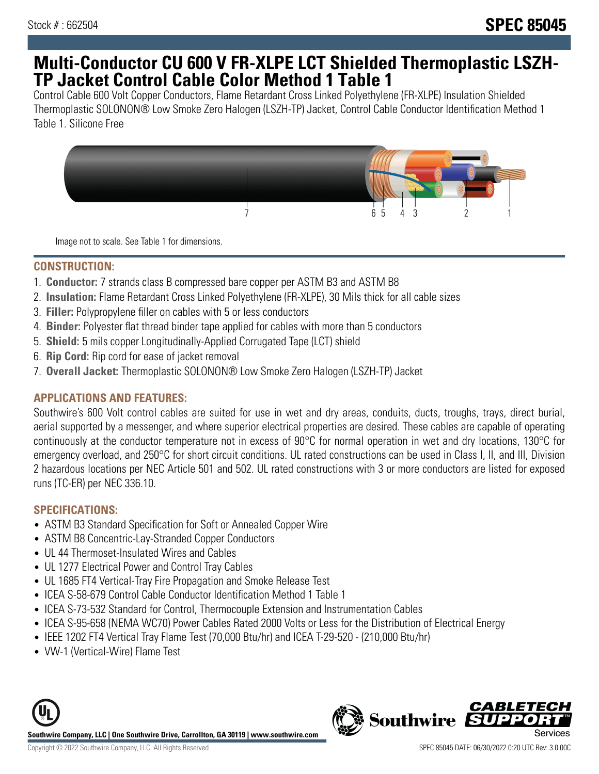# **Multi-Conductor CU 600 V FR-XLPE LCT Shielded Thermoplastic LSZH-TP Jacket Control Cable Color Method 1 Table 1**

Control Cable 600 Volt Copper Conductors, Flame Retardant Cross Linked Polyethylene (FR-XLPE) Insulation Shielded Thermoplastic SOLONON® Low Smoke Zero Halogen (LSZH-TP) Jacket, Control Cable Conductor Identification Method 1 Table 1. Silicone Free



Image not to scale. See Table 1 for dimensions.

### **CONSTRUCTION:**

- 1. **Conductor:** 7 strands class B compressed bare copper per ASTM B3 and ASTM B8
- 2. **Insulation:** Flame Retardant Cross Linked Polyethylene (FR-XLPE), 30 Mils thick for all cable sizes
- 3. **Filler:** Polypropylene filler on cables with 5 or less conductors
- 4. **Binder:** Polyester flat thread binder tape applied for cables with more than 5 conductors
- 5. **Shield:** 5 mils copper Longitudinally-Applied Corrugated Tape (LCT) shield
- 6. **Rip Cord:** Rip cord for ease of jacket removal
- 7. **Overall Jacket:** Thermoplastic SOLONON® Low Smoke Zero Halogen (LSZH-TP) Jacket

## **APPLICATIONS AND FEATURES:**

Southwire's 600 Volt control cables are suited for use in wet and dry areas, conduits, ducts, troughs, trays, direct burial, aerial supported by a messenger, and where superior electrical properties are desired. These cables are capable of operating continuously at the conductor temperature not in excess of 90°C for normal operation in wet and dry locations, 130°C for emergency overload, and 250°C for short circuit conditions. UL rated constructions can be used in Class I, II, and III, Division 2 hazardous locations per NEC Article 501 and 502. UL rated constructions with 3 or more conductors are listed for exposed runs (TC-ER) per NEC 336.10.

## **SPECIFICATIONS:**

- ASTM B3 Standard Specification for Soft or Annealed Copper Wire
- ASTM B8 Concentric-Lay-Stranded Copper Conductors
- UL 44 Thermoset-Insulated Wires and Cables
- UL 1277 Electrical Power and Control Tray Cables
- UL 1685 FT4 Vertical-Tray Fire Propagation and Smoke Release Test
- ICEA S-58-679 Control Cable Conductor Identification Method 1 Table 1
- ICEA S-73-532 Standard for Control, Thermocouple Extension and Instrumentation Cables
- ICEA S-95-658 (NEMA WC70) Power Cables Rated 2000 Volts or Less for the Distribution of Electrical Energy
- IEEE 1202 FT4 Vertical Tray Flame Test (70,000 Btu/hr) and ICEA T-29-520 (210,000 Btu/hr)
- VW-1 (Vertical-Wire) Flame Test



CABLET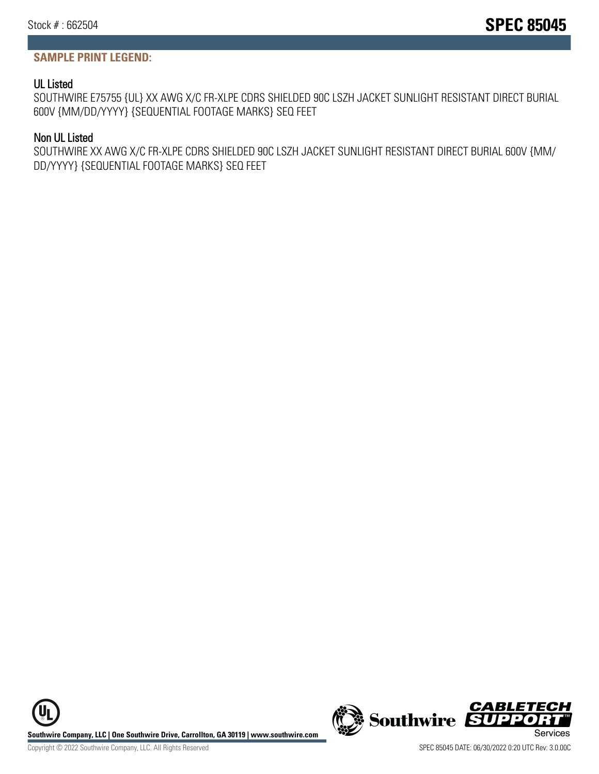# **SAMPLE PRINT LEGEND:**

## UL Listed

SOUTHWIRE E75755 {UL} XX AWG X/C FR-XLPE CDRS SHIELDED 90C LSZH JACKET SUNLIGHT RESISTANT DIRECT BURIAL 600V {MM/DD/YYYY} {SEQUENTIAL FOOTAGE MARKS} SEQ FEET

#### Non UL Listed

SOUTHWIRE XX AWG X/C FR-XLPE CDRS SHIELDED 90C LSZH JACKET SUNLIGHT RESISTANT DIRECT BURIAL 600V {MM/ DD/YYYY} {SEQUENTIAL FOOTAGE MARKS} SEQ FEET